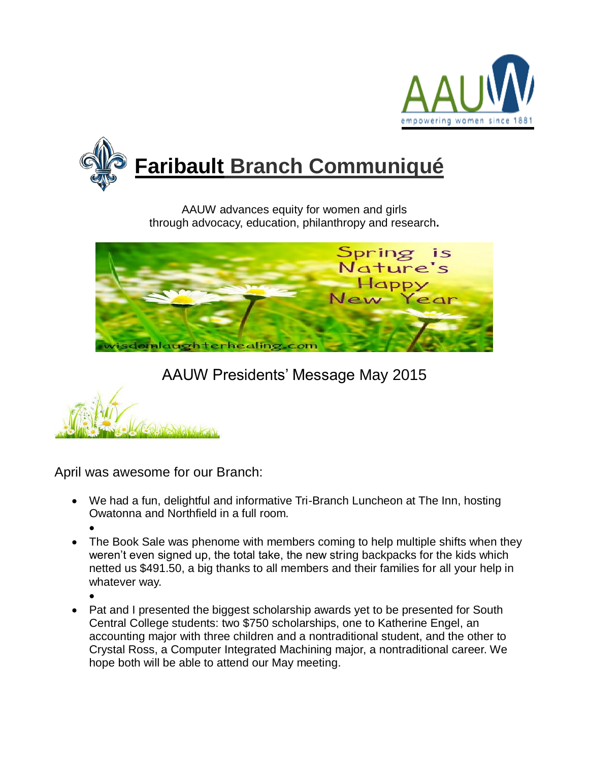



AAUW advances equity for women and girls through advocacy, education, philanthropy and research**.**



## AAUW Presidents' Message May 2015

April was awesome for our Branch:

- We had a fun, delightful and informative Tri-Branch Luncheon at The Inn, hosting Owatonna and Northfield in a full room.
	- $\bullet$
- The Book Sale was phenome with members coming to help multiple shifts when they weren't even signed up, the total take, the new string backpacks for the kids which netted us \$491.50, a big thanks to all members and their families for all your help in whatever way.
	- $\bullet$
- Pat and I presented the biggest scholarship awards yet to be presented for South Central College students: two \$750 scholarships, one to Katherine Engel, an accounting major with three children and a nontraditional student, and the other to Crystal Ross, a Computer Integrated Machining major, a nontraditional career. We hope both will be able to attend our May meeting.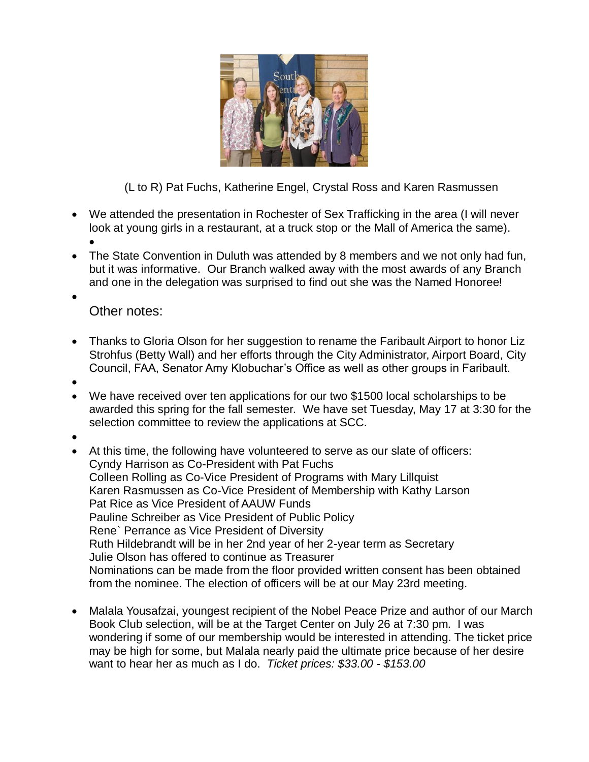

(L to R) Pat Fuchs, Katherine Engel, Crystal Ross and Karen Rasmussen

- We attended the presentation in Rochester of Sex Trafficking in the area (I will never look at young girls in a restaurant, at a truck stop or the Mall of America the same).  $\bullet$
- The State Convention in Duluth was attended by 8 members and we not only had fun, but it was informative. Our Branch walked away with the most awards of any Branch and one in the delegation was surprised to find out she was the Named Honoree!
- $\bullet$ Other notes:
- Thanks to Gloria Olson for her suggestion to rename the Faribault Airport to honor Liz Strohfus (Betty Wall) and her efforts through the City Administrator, Airport Board, City Council, FAA, Senator Amy Klobuchar's Office as well as other groups in Faribault.
- $\bullet$
- We have received over ten applications for our two \$1500 local scholarships to be awarded this spring for the fall semester. We have set Tuesday, May 17 at 3:30 for the selection committee to review the applications at SCC.
- $\bullet$
- At this time, the following have volunteered to serve as our slate of officers: Cyndy Harrison as Co-President with Pat Fuchs Colleen Rolling as Co-Vice President of Programs with Mary Lillquist Karen Rasmussen as Co-Vice President of Membership with Kathy Larson Pat Rice as Vice President of AAUW Funds Pauline Schreiber as Vice President of Public Policy Rene` Perrance as Vice President of Diversity Ruth Hildebrandt will be in her 2nd year of her 2-year term as Secretary Julie Olson has offered to continue as Treasurer Nominations can be made from the floor provided written consent has been obtained from the nominee. The election of officers will be at our May 23rd meeting.
- Malala Yousafzai, youngest recipient of the Nobel Peace Prize and author of our March Book Club selection, will be at the Target Center on July 26 at 7:30 pm. I was wondering if some of our membership would be interested in attending. The ticket price may be high for some, but Malala nearly paid the ultimate price because of her desire want to hear her as much as I do. *Ticket prices: \$33.00 - \$153.00*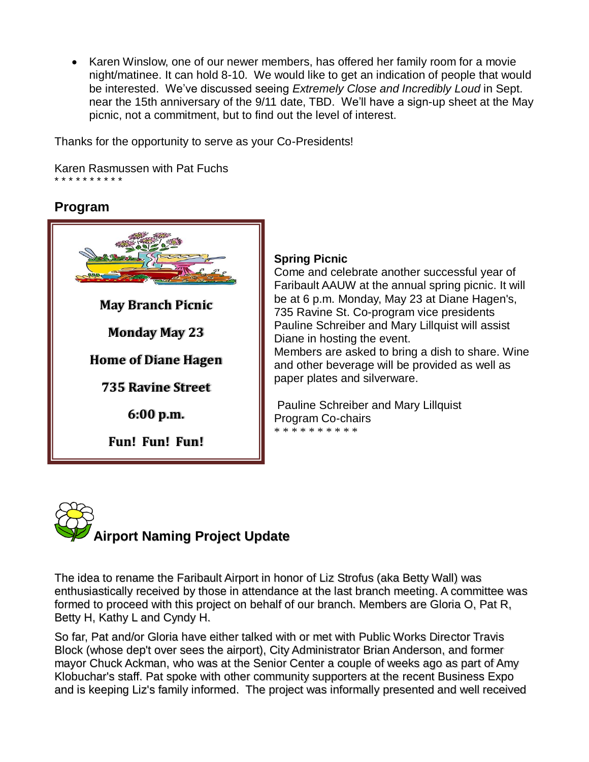• Karen Winslow, one of our newer members, has offered her family room for a movie night/matinee. It can hold 8-10. We would like to get an indication of people that would be interested. We've discussed seeing *Extremely Close and Incredibly Loud* in Sept. near the 15th anniversary of the 9/11 date, TBD. We'll have a sign-up sheet at the May picnic, not a commitment, but to find out the level of interest.

Thanks for the opportunity to serve as your Co-Presidents!

Karen Rasmussen with Pat Fuchs \* \* \* \* \* \* \* \* \* \*

## **Program**



## **Spring Picnic**

Come and celebrate another successful year of Faribault AAUW at the annual spring picnic. It will be at 6 p.m. Monday, May 23 at Diane Hagen's, 735 Ravine St. Co-program vice presidents Pauline Schreiber and Mary Lillquist will assist Diane in hosting the event.

Members are asked to bring a dish to share. Wine and other beverage will be provided as well as paper plates and silverware.

Pauline Schreiber and Mary Lillquist Program Co-chairs \* \* \* \* \* \* \* \* \* \*



The idea to rename the Faribault Airport in honor of Liz Strofus (aka Betty Wall) was enthusiastically received by those in attendance at the last branch meeting. A committee was formed to proceed with this project on behalf of our branch. Members are Gloria O, Pat R, Betty H, Kathy L and Cyndy H.

So far, Pat and/or Gloria have either talked with or met with Public Works Director Travis Block (whose dep't over sees the airport), City Administrator Brian Anderson, and former mayor Chuck Ackman, who was at the Senior Center a couple of weeks ago as part of Amy Klobuchar's staff. Pat spoke with other community supporters at the recent Business Expo and is keeping Liz's family informed. The project was informally presented and well received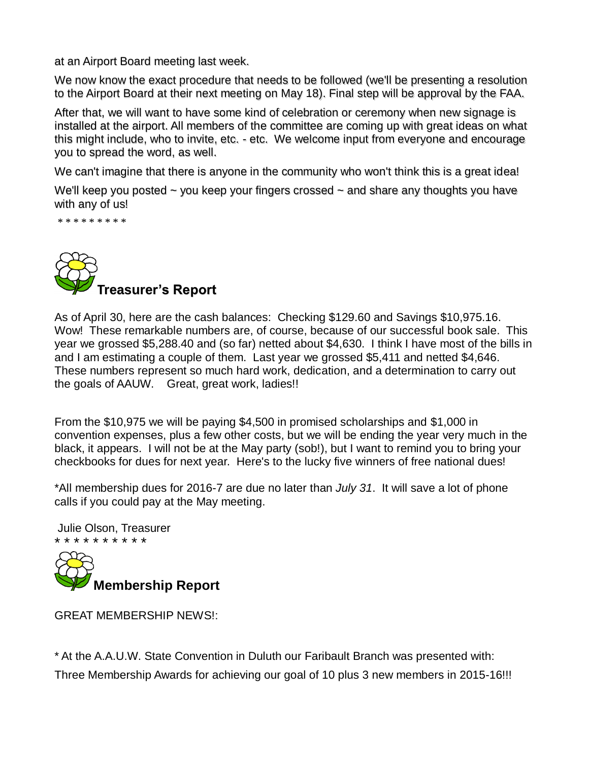at an Airport Board meeting last week.

We now know the exact procedure that needs to be followed (we'll be presenting a resolution to the Airport Board at their next meeting on May 18). Final step will be approval by the FAA.

After that, we will want to have some kind of celebration or ceremony when new signage is installed at the airport. All members of the committee are coming up with great ideas on what this might include, who to invite, etc. - etc. We welcome input from everyone and encourage you to spread the word, as well.

We can't imagine that there is anyone in the community who won't think this is a great idea!

We'll keep you posted  $\sim$  you keep your fingers crossed  $\sim$  and share any thoughts you have with any of us!

\* \* \* \* \* \* \* \* \*



As of April 30, here are the cash balances: Checking \$129.60 and Savings \$10,975.16. Wow! These remarkable numbers are, of course, because of our successful book sale. This year we grossed \$5,288.40 and (so far) netted about \$4,630. I think I have most of the bills in and I am estimating a couple of them. Last year we grossed \$5,411 and netted \$4,646. These numbers represent so much hard work, dedication, and a determination to carry out the goals of AAUW. Great, great work, ladies!!

From the \$10,975 we will be paying \$4,500 in promised scholarships and \$1,000 in convention expenses, plus a few other costs, but we will be ending the year very much in the black, it appears. I will not be at the May party (sob!), but I want to remind you to bring your checkbooks for dues for next year. Here's to the lucky five winners of free national dues!

\*All membership dues for 2016-7 are due no later than *July 31*. It will save a lot of phone calls if you could pay at the May meeting.

Julie Olson, Treasurer \* \* \* \* \* \* \* \* \* \*



GREAT MEMBERSHIP NEWS!:

\* At the A.A.U.W. State Convention in Duluth our Faribault Branch was presented with: Three Membership Awards for achieving our goal of 10 plus 3 new members in 2015-16!!!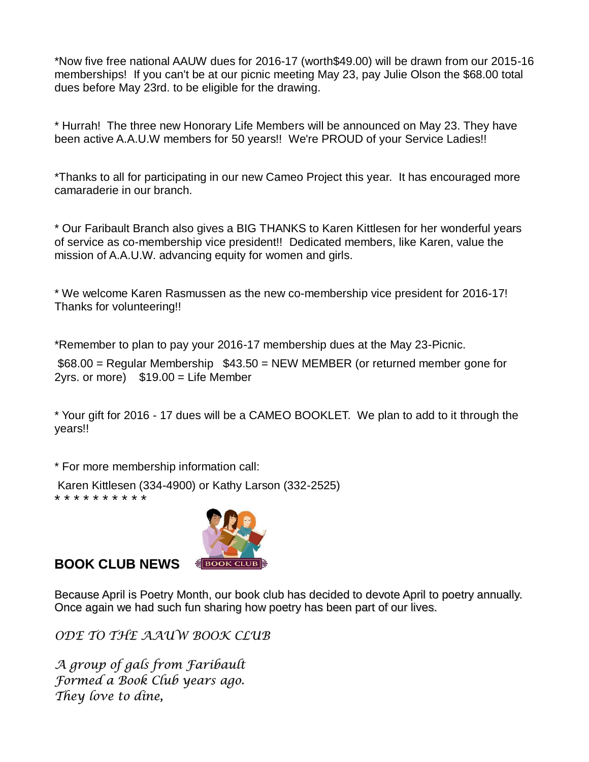\*Now five free national AAUW dues for 2016-17 (worth\$49.00) will be drawn from our 2015-16 memberships! If you can't be at our picnic meeting May 23, pay Julie Olson the \$68.00 total dues before May 23rd. to be eligible for the drawing.

\* Hurrah! The three new Honorary Life Members will be announced on May 23. They have been active A.A.U.W members for 50 years!! We're PROUD of your Service Ladies!!

\*Thanks to all for participating in our new Cameo Project this year. It has encouraged more camaraderie in our branch.

\* Our Faribault Branch also gives a BIG THANKS to Karen Kittlesen for her wonderful years of service as co-membership vice president!! Dedicated members, like Karen, value the mission of A.A.U.W. advancing equity for women and girls.

\* We welcome Karen Rasmussen as the new co-membership vice president for 2016-17! Thanks for volunteering!!

\*Remember to plan to pay your 2016-17 membership dues at the May 23-Picnic.

\$68.00 = Regular Membership \$43.50 = NEW MEMBER (or returned member gone for  $2yrs.$  or more)  $$19.00 =$  Life Member

\* Your gift for 2016 - 17 dues will be a CAMEO BOOKLET. We plan to add to it through the years!!

\* For more membership information call:

Karen Kittlesen (334-4900) or Kathy Larson (332-2525)

\* \* \* \* \* \* \* \* \* \*



**BOOK CLUB NEWS** 

Because April is Poetry Month, our book club has decided to devote April to poetry annually. Once again we had such fun sharing how poetry has been part of our lives.

*ODE TO THE AAUW BOOK CLUB*

*A group of gals from Faribault Formed a Book Club years ago. They love to dine,*